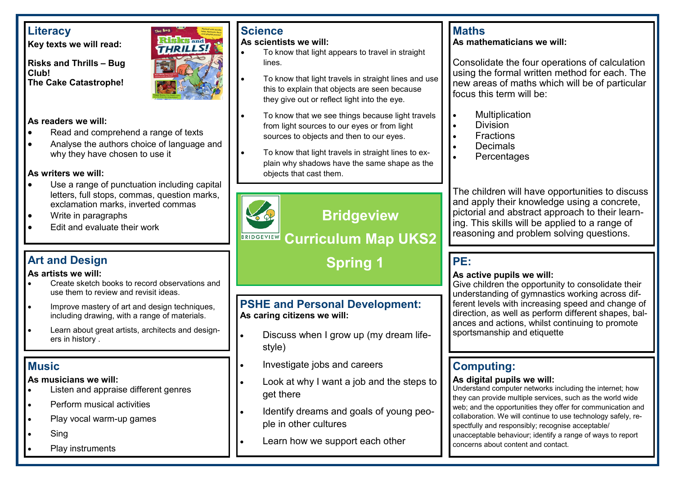## **Literacy**

**Key texts we will read:**

**Risks and Thrills – Bug Club! The Cake Catastrophe!**



### **As readers we will:**

- Read and comprehend a range of texts
- Analyse the authors choice of language and why they have chosen to use it

#### **As writers we will:**

- Use a range of punctuation including capital letters, full stops, commas, question marks, exclamation marks, inverted commas
- Write in paragraphs
- Edit and evaluate their work

## **Art and Design**

#### **As artists we will:**

- Create sketch books to record observations and use them to review and revisit ideas.
- Improve mastery of art and design techniques, including drawing, with a range of materials.
- Learn about great artists, architects and designers in history .

## **Music**

#### **As musicians we will:**

- Listen and appraise different genres
- Perform musical activities
- Play vocal warm-up games
- **Sing**
- Play instruments

## **Science**

#### **As scientists we will:**

- To know that light appears to travel in straight lines.
- To know that light travels in straight lines and use this to explain that objects are seen because they give out or reflect light into the eye.
- To know that we see things because light travels from light sources to our eyes or from light sources to objects and then to our eyes.
- To know that light travels in straight lines to explain why shadows have the same shape as the objects that cast them.



# **Bridgeview**

# **Curriculum Map UKS2**

 **Spring 1**

### **PSHE and Personal Development: As caring citizens we will:**

- Discuss when I grow up (my dream lifestyle)
- Investigate jobs and careers
- Look at why I want a job and the steps to get there
- Identify dreams and goals of young people in other cultures
- Learn how we support each other

## **Maths**

#### **As mathematicians we will:**

Consolidate the four operations of calculation using the formal written method for each. The new areas of maths which will be of particular focus this term will be:

- **Multiplication**
- Division
- **Fractions**
- Decimals
- **Percentages**

The children will have opportunities to discuss and apply their knowledge using a concrete, pictorial and abstract approach to their learning. This skills will be applied to a range of reasoning and problem solving questions.

## **PE:**

#### **As active pupils we will:**

Give children the opportunity to consolidate their understanding of gymnastics working across different levels with increasing speed and change of direction, as well as perform different shapes, balances and actions, whilst continuing to promote sportsmanship and etiquette

# **Computing:**

#### **As digital pupils we will:**

Understand computer networks including the internet; how they can provide multiple services, such as the world wide web; and the opportunities they offer for communication and collaboration. We will continue to use technology safely, respectfully and responsibly; recognise acceptable/ unacceptable behaviour; identify a range of ways to report concerns about content and contact.